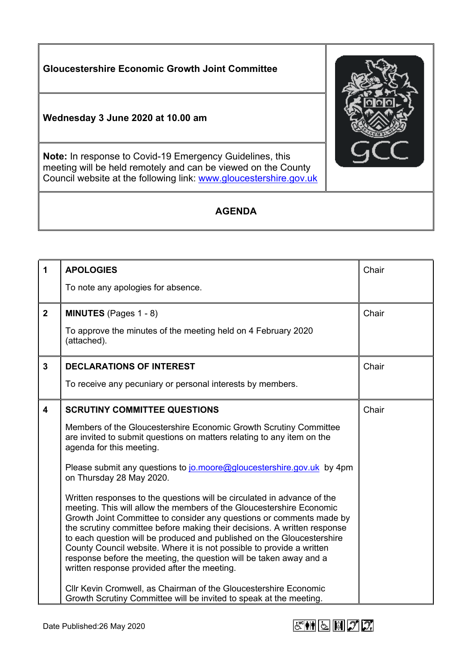**Gloucestershire Economic Growth Joint Committee Wednesday 3 June 2020 at 10.00 am Note:** In response to Covid-19 Emergency Guidelines, this meeting will be held remotely and can be viewed on the County Council website at the following link: [www.gloucestershire.gov.uk](http://www.gloucestershire.gov.uk/)

## **AGENDA**

| 1                       | <b>APOLOGIES</b>                                                                                                                                                                                                                                                                                                                                                                                                                                                                                                                                                             | Chair |
|-------------------------|------------------------------------------------------------------------------------------------------------------------------------------------------------------------------------------------------------------------------------------------------------------------------------------------------------------------------------------------------------------------------------------------------------------------------------------------------------------------------------------------------------------------------------------------------------------------------|-------|
|                         | To note any apologies for absence.                                                                                                                                                                                                                                                                                                                                                                                                                                                                                                                                           |       |
| $\mathbf{2}$            | <b>MINUTES</b> (Pages $1 - 8$ )                                                                                                                                                                                                                                                                                                                                                                                                                                                                                                                                              | Chair |
|                         | To approve the minutes of the meeting held on 4 February 2020<br>(attached).                                                                                                                                                                                                                                                                                                                                                                                                                                                                                                 |       |
| 3                       | <b>DECLARATIONS OF INTEREST</b>                                                                                                                                                                                                                                                                                                                                                                                                                                                                                                                                              | Chair |
|                         | To receive any pecuniary or personal interests by members.                                                                                                                                                                                                                                                                                                                                                                                                                                                                                                                   |       |
| $\overline{\mathbf{4}}$ | <b>SCRUTINY COMMITTEE QUESTIONS</b>                                                                                                                                                                                                                                                                                                                                                                                                                                                                                                                                          | Chair |
|                         | Members of the Gloucestershire Economic Growth Scrutiny Committee<br>are invited to submit questions on matters relating to any item on the<br>agenda for this meeting.                                                                                                                                                                                                                                                                                                                                                                                                      |       |
|                         | Please submit any questions to jo.moore@gloucestershire.gov.uk by 4pm<br>on Thursday 28 May 2020.                                                                                                                                                                                                                                                                                                                                                                                                                                                                            |       |
|                         | Written responses to the questions will be circulated in advance of the<br>meeting. This will allow the members of the Gloucestershire Economic<br>Growth Joint Committee to consider any questions or comments made by<br>the scrutiny committee before making their decisions. A written response<br>to each question will be produced and published on the Gloucestershire<br>County Council website. Where it is not possible to provide a written<br>response before the meeting, the question will be taken away and a<br>written response provided after the meeting. |       |
|                         | CIIr Kevin Cromwell, as Chairman of the Gloucestershire Economic<br>Growth Scrutiny Committee will be invited to speak at the meeting.                                                                                                                                                                                                                                                                                                                                                                                                                                       |       |

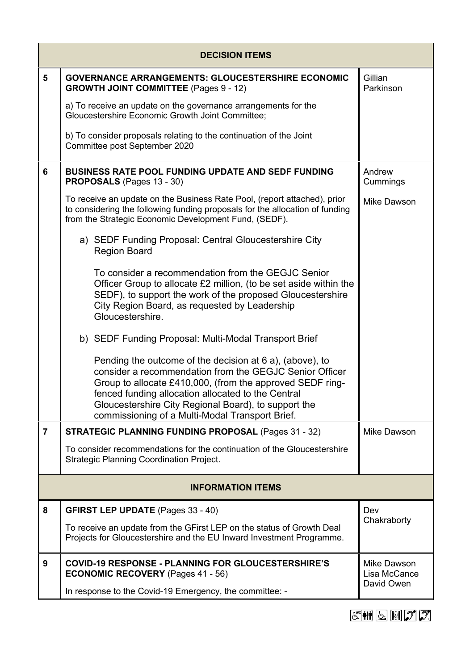| <b>DECISION ITEMS</b>   |                                                                                                                                                                                                                                                                                                                                                   |                                           |  |  |  |
|-------------------------|---------------------------------------------------------------------------------------------------------------------------------------------------------------------------------------------------------------------------------------------------------------------------------------------------------------------------------------------------|-------------------------------------------|--|--|--|
| 5                       | <b>GOVERNANCE ARRANGEMENTS: GLOUCESTERSHIRE ECONOMIC</b><br><b>GROWTH JOINT COMMITTEE (Pages 9 - 12)</b>                                                                                                                                                                                                                                          | Gillian<br>Parkinson                      |  |  |  |
|                         | a) To receive an update on the governance arrangements for the<br>Gloucestershire Economic Growth Joint Committee;                                                                                                                                                                                                                                |                                           |  |  |  |
|                         | b) To consider proposals relating to the continuation of the Joint<br>Committee post September 2020                                                                                                                                                                                                                                               |                                           |  |  |  |
| 6                       | <b>BUSINESS RATE POOL FUNDING UPDATE AND SEDF FUNDING</b><br><b>PROPOSALS</b> (Pages 13 - 30)                                                                                                                                                                                                                                                     | Andrew<br>Cummings                        |  |  |  |
|                         | To receive an update on the Business Rate Pool, (report attached), prior<br>to considering the following funding proposals for the allocation of funding<br>from the Strategic Economic Development Fund, (SEDF).                                                                                                                                 | Mike Dawson                               |  |  |  |
|                         | a) SEDF Funding Proposal: Central Gloucestershire City<br><b>Region Board</b>                                                                                                                                                                                                                                                                     |                                           |  |  |  |
|                         | To consider a recommendation from the GEGJC Senior<br>Officer Group to allocate £2 million, (to be set aside within the<br>SEDF), to support the work of the proposed Gloucestershire<br>City Region Board, as requested by Leadership<br>Gloucestershire.                                                                                        |                                           |  |  |  |
|                         | b) SEDF Funding Proposal: Multi-Modal Transport Brief                                                                                                                                                                                                                                                                                             |                                           |  |  |  |
|                         | Pending the outcome of the decision at 6 a), (above), to<br>consider a recommendation from the GEGJC Senior Officer<br>Group to allocate £410,000, (from the approved SEDF ring-<br>fenced funding allocation allocated to the Central<br>Gloucestershire City Regional Board), to support the<br>commissioning of a Multi-Modal Transport Brief. |                                           |  |  |  |
| $\overline{\mathbf{z}}$ | <b>STRATEGIC PLANNING FUNDING PROPOSAL (Pages 31 - 32)</b>                                                                                                                                                                                                                                                                                        | Mike Dawson                               |  |  |  |
|                         | To consider recommendations for the continuation of the Gloucestershire<br><b>Strategic Planning Coordination Project.</b>                                                                                                                                                                                                                        |                                           |  |  |  |
|                         | <b>INFORMATION ITEMS</b>                                                                                                                                                                                                                                                                                                                          |                                           |  |  |  |
| 8                       | <b>GFIRST LEP UPDATE</b> (Pages 33 - 40)                                                                                                                                                                                                                                                                                                          | Dev                                       |  |  |  |
|                         | To receive an update from the GFirst LEP on the status of Growth Deal<br>Projects for Gloucestershire and the EU Inward Investment Programme.                                                                                                                                                                                                     | Chakraborty                               |  |  |  |
| 9                       | <b>COVID-19 RESPONSE - PLANNING FOR GLOUCESTERSHIRE'S</b><br><b>ECONOMIC RECOVERY</b> (Pages 41 - 56)                                                                                                                                                                                                                                             | Mike Dawson<br>Lisa McCance<br>David Owen |  |  |  |
|                         | In response to the Covid-19 Emergency, the committee: -                                                                                                                                                                                                                                                                                           |                                           |  |  |  |